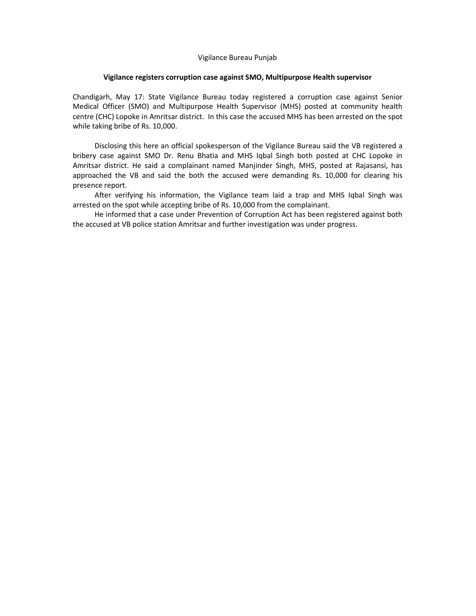#### Vigilance Bureau Punjab

#### **Vigilance registers corruption case against SMO, Multipurpose Health supervisor**

Chandigarh, May 17: State Vigilance Bureau today registered a corruption case against Senior Medical Officer (SMO) and Multipurpose Health Supervisor (MHS) posted at community health centre (CHC) Lopoke in Amritsar district. In this case the accused MHS has been arrested on the spot while taking bribe of Rs. 10,000.

 Disclosing this here an official spokesperson of the Vigilance Bureau said the VB registered a bribery case against SMO Dr. Renu Bhatia and MHS Iqbal Singh both posted at CHC Lopoke in Amritsar district. He said a complainant named Manjinder Singh, MHS, posted at Rajasansi, has approached the VB and said the both the accused were demanding Rs. 10,000 for clearing his presence report.

 After verifying his information, the Vigilance team laid a trap and MHS Iqbal Singh was arrested on the spot while accepting bribe of Rs. 10,000 from the complainant.

 He informed that a case under Prevention of Corruption Act has been registered against both the accused at VB police station Amritsar and further investigation was under progress.